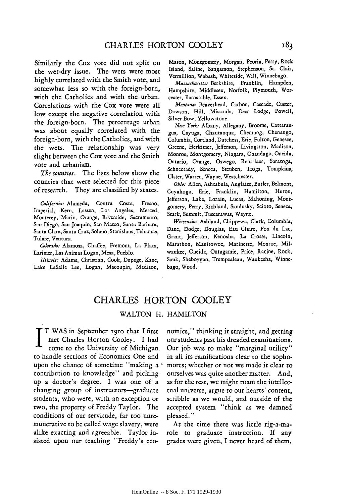Similarly the Cox vote did not *split* on the wet-dry issue. The wets were most highly correlated with the Smith vote, and somewhat less so with the foreign-born, with the Catholics and with the urban. Correlations with the Cox vote were all low except the negative correlation with the foreign-born. The percentage urban was about equally correlated with the foreign-born, with the Catholics, and with the wets. The relationship was very slight between the Cox vote and the Smith vote and urbanism.

*The counties.* The lists below show the counties that were selected for this piece of research. They are classified by states.

*California:* Alameda, Contra Costa, Fresno, Imperial, Kern, Lassen, Los Angeles, Merced, Monterey, Marin, Orange, Riverside, Sacramento, San Diego, San Joaquin, San Mateo, Santa Barbara, Santa Clara, Santa Cruz, Solano, Stanislaus, Tehamas, Tulare, Ventura.

*Colorado:* Alamosa, Chaffee, Fremont, La Plata, Larimer, Las Animas Logan, Mesa, Pueblo.

*Illinois:* Adams, Christian, Cook, Dupage, Kane, Lake LaSalle Lee, Logan, Macoupin, Madison, Mason, Montgomery, Morgan, Peoria, Perry, Rock Island, Saline, Sangamon, Stephenson, St. Clair, Vermillion, Wabash, Whiteside, Will, Winnebago.

Massachusetts: Berkshire, Franklin, Hampden, Hampshire, Middlesex, Norfolk, Plymouth, Worcester, Barnstable, Essex.

*Montana:* Beaverhead, Carbon, Cascade, Custer, Dawson, Hill, Missoula, Deer Lodge, Powell, Silver Bow, Yellowstone.

*New York:* Albany, Allegany, Broome, Cattaraugus, Cayuga, Chautauqua, Chemung, Chenango, Columbia, Cortland, Dutchess, Erie, Fulton, Genesee, Greene, Herkimer, Jefferson, Livingston, Madison, Monroe, Montgomery, Niagara, Onandaga, Oneida, Ontario, Orange, Oswego, Rensslaer, Saratoga, Schnectady, Seneca, Steuben, Tioga, Tompkins, Ulster, Warren, Wayne, Westchester.

*Ohio:* Allen, Ashtabula, Auglaize, Butler, Belmont, Cuyahoga, Erie, Franklin, Hamilton, Huron, Jefferson, Lake, Lorain, Lucas, Mahoning, Montgomery, Perry, Richland, Sandusky, Scioto, Seneca, Stark, Summit, Tuscarawas, Wayne.

*Wisconsin:* Ashland, Chippewa, Clark, Columbia, Dane, Dodge, Douglas, Eau Claire, Fon du Lac, Grant, Jefferson, Kenosha, La Crosse, Lincoln, Marathon, Manitowoc, Marinette, Monroe, Milwaukee, Oneida, Ontagamie, Price, Racine, Rock, Sauk, Sheboygan, Trempealeau, Waukesha, Winnebago, Wood.

## CHARLES HORTON COOLEY

## WALTON H. HAMILTON

I T WAS in September 1910 that I first met Charles Horton Cooley. I had come to the University of Michigan to handle sections of Economics One and upon the chance of sometime ''making a · contribution to knowledge" and picking up a doctor's degree. I was one of a changing group of instructors-graduate students, who were, with an exception or two, the property of Freddy Taylor. The conditions of our servitude, far too unremunerative to be called wage slavery, were alike exacting and agreeable. Taylor *in*sisted upon our teaching "Freddy's eco-

nomics,'' thinking *it* straight, and getting our students past his dreaded examinations. Our job was to make "marginal utility" *in* all its ramifications clear to the sophomores; whether or not we made *it* clear to ourselves was quite another matter. And, as for the rest, we might roam the intellectual universe, argue to our hearts' content, scribble as we would, and outside of the accepted system "think as we damned pleased."

At the time there was little rig-a-marole to graduate instruction. If any grades were given, I never heard of them.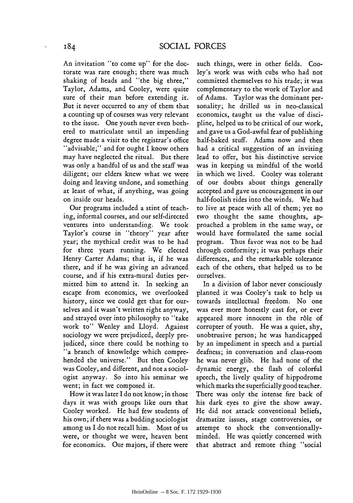An invitation "to come up" for the doctorate was rare enough; there was much shaking of heads and "the big three," Taylor, Adams, and Cooley, were quite sure of their man before extending it. But it never occurred to any of them that a counting up of courses was very relevant to the issue. One youth never even bothered to matriculate until an impending degree made a visit to the registrar's office "advisable;" and for ought I know others may have neglected the ritual. But there was only a handful of us and the staff was diligent; our elders knew what we were doing and leaving undone, and something at least of what, if anything, was going on inside our heads. .

Our programs included a stint of teaching, informal courses, and our self-directed ventures into understanding. We took Taylor's course in "theory" year after year; the mythical credit was to be had for three years running. We elected Henry Carter Adams; that is, if he was there, and if he was giving an advanced course, and if his extra-mural duties permitted him to attend it. In seeking an escape from economics, we overlooked history, since we could get that for ourselves and it wasn't written right anyway, and strayed over into philosophy to "take work to" Wenley and Lloyd. Against sociology we were prejudiced, deeply prejudiced, since there could be nothing to "a branch of knowledge which comprehended the universe.'' But then Cooley was Cooley, and different, and not a sociologist anyway. So into his seminar we went; in fact we composed it.

How it was later I do not know; in those days it was with groups like ours that Cooley worked. He had few students of his own; if there was a budding sociologist among us I do not recall him. Most of us were, or thought we were, heaven bent for economics. Our majors, if there were

such things, were in other fields. Cooley's work was with cubs who had not committed themselves to his trade; it was complementary to the work of Taylor and of Adams. Taylor was the dominant personality; he drilled us in neo-classical economics, taught us the value of discipline, helped us to be critical of our work, and gave us a God-awful fear of publishing half-baked stuff. Adams now and then had a critical suggestion of an inviting lead to offer, but his distinctive service was in keeping us mindful of the world in which we lived. Cooley was tolerant of our doubts about things generally accepted and gave us encouragement in our half-foolish rides into the winds. We had to live at peace with all of them; yet no two thought the same thoughts, approached a problem in the same way, or would have formulated the same social program. Thus favor was not to be had through conformity; it was perhaps their differences, and the remarkable tolerance each of the others, that helped us to be ourselves.

In a division of labor never consciously planned it was Cooley's task to help us towards intellectual freedom. No one was ever more honestly cast for, or ever appeared more innocent in the rôle of corrupter of youth. He was a quiet, shy, unobtrusive person; he was handicapped by an impediment in speech and a partial deafness; in conversation and class-room he was never glib. He had none of the dynamic energy, the flash of colorful speech, the lively quality of hippodrome which marks the superficially good teacher. There was only the intense fire back of his dark eyes to give the show away. He did not attack conventional beliefs, dramatize issues, stage controversies, or attempt to shock the conventionallyminded. He was quietly concerned with that abstract and remote thing "social

 $\ddot{\phantom{1}}$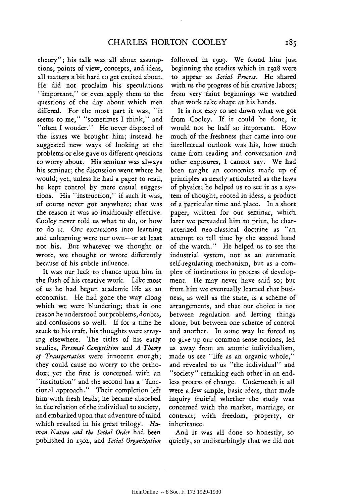theory''; his talk was all about assumptions, points of view, concepts, and ideas, all matters a bit hard to get excited about. He did not proclaim his speculations "important," or even apply them to the questions of the day about which men differed. For the most part it was, "it seems to me," "sometimes I think," and "often I wonder." He never disposed of the issues we brought him; instead he suggested new ways of looking at the problems or else gave us different questions to worry about. His seminar was always his seminar; the discussion went where he would; yet, unless he had a paper to read, he kept control by mere casual suggestions. His "instruction," if such it was, of course never got anywhere; that was the reason it was so insidiously effective. Cooley never told us what to do, or how to do it. Our excursions into learning and unlearning were our own-or at least not his. But whatever we thought or wrote, we thought or wrote differently because of his subtle influence.

It was our luck to chance upon him in the flush of his creative work. Like most of us he had begun academic life as an economist. He had gone the way along which we were blundering; that is one reason he understood our problems, doubts, and confusions so well. If for a time he stuck to his craft, his thoughts were straying elsewhere. The titles of his early studies, *Personal Competition* and *A Theory of Transportation* were innocent enough; they could cause no worry to the orthodox; yet the first is concerned with an "institution" and the second has a "functional approach.'' Their completion left him with fresh leads; he became absorbed in the relation of the individual to society, and embarked upon that adventure of mind which resulted in his great trilogy. *Human Nature and the Social Order* had been published in 1901., and *Social Organization* 

followed in 1909. We found him just beginning the studies which in 1918 were to appear as *Social Process.* He shared with us the progress of his creative labors; from very faint beginnings we watched that work take shape at his hands.

It is not easy to set down what we got from Cooley. If it could be done, it would not be half so important. How much of the freshness that came into our intellectual outlook was his, how much came from reading and conversation and other exposures, I cannot say. We had been taught an economics made up of principles as neatly articulated as the laws of physics; he helped us to see it as a system of thought, rooted in ideas, a product of a particular time and place. In a short paper, written for our seminar, which later we persuaded him to print, he characterized neo-classical doctrine as ''an attempt to tell time by the second hand of the watch." He helped us to see the industrial system, not as an automatic self-regulating mechanism, but as a complex of institutions in process of development. He may never have said so; but from him we eventually learned that business, as well as the state, is a scheme of arrangements, and that our choice is not between regulation and letting things alone, but between one scheme of control and another. In some way he forced us to give up our common sense notions, led us away from an atomic individualism, made us see "life as an organic whole," and revealed to us "the individual" and "society" remaking each other in an endless process of change. Underneath it all were a few simple, basic ideas, that made inquiry fruitful whether the study was concerned with the market, marriage, or contract; with freedom, property, or inheritance.

And it was all done so honestly, so quietly, so undisturbingly that we did not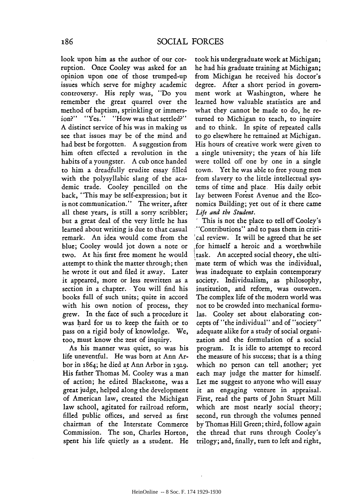look upon him as the author of our corruption. Once Cooley was asked for an opinion upon one of those trumped-up issues which serve for mighty academic controversy. His reply was, "Do you remember the great quarrel over the method of baptism, sprinkling or immersion?" "Yes." "How was that settled?" A distinct service of his was in making us see that issues may be of the mind and had best be forgotten. A suggestion from him often effected a revolution in the habits of a youngster. A cub once handed to him a dreadfully erudite essay filled with the polysyllabic slang of the academic trade. Cooley pencilled on the back, "This may be self-expression; but it is not communication." The writer, after all these years, is still a sorry scribbler; but a great deal of the very little he has learned about writing is due to that casual remark. An idea would come from the blue; Cooley would jot down a note or two. At his first free moment he would attempt to think the matter through; then he wrote it out and filed it away. Later it appeared, more or less rewritten as a section in a chapter. You will find his books full of such units; quite in accord with his own notion of process, they grew. In the face of such a procedure it was hard for us to keep the faith or to pass on a rigid body of knowledge. We, too, must know the zest of inquiry.

As his manner was quiet, so was his life uneventful. He was born at Ann Arbor in  $1864$ ; he died at Ann Arbor in 1929. His father Thomas M. Cooley was a man of action; he edited Blackstone, was a great judge, helped along the development of American law, created the Michigan law school, agitated for railroad reform, filled public offices, and served as first chairman of the Interstate Commerce Commission. The son, Charles Horton, spent his life quietly as a student. He

took his undergraduate work at Michigan; he had his graduate training at Michigan; from Michigan he received his doctor's degree. After a short period in government work at Washington, where he learned how valuable statistics are and what they cannot be made to do, he returned to Michigan to teach, to inquire and to think. In spite of repeated calls to go elsewhere he remained at Michigan. His hours of creative work were given to a single university; the years of his life were tolled off one by one in a single town. Yet he was able to free young men from slavery to the little intellectual systems of time and place. His daily orbit lay between Forest Avenue and the Economics Building; yet out of it there came *Life and the Student.* 

This is not the place to tell off Cooley's "Contributions" and to pass them in criti cal review. It will be agreed that he set for himself a heroic and a worthwhile task. An accepted social theory, the ulti-'mate term of which was the individual, was inadequate to explain contemporary society. Individualism, as philosophy, institution, and reform, was outworn. The complex life of the modern world was not to be crowded into mechanical formulas. Cooley set about elaborating concepts of "the individual" and of "society" adequate alike for a study of social organization and the formulation of a social program. It is idle to attempt to record the measure of his success; that is a thing which no person can tell another; yet each may judge the matter for himself. Let me suggest to anyone who will essay it an engaging venture in appraisal. First, read the parts of John Stuart Mill which are most nearly social theory; second, run through the volumes penned by Thomas Hill Green; third, follow again the thread that runs through Cooley's trilogy; and, finally, turn to left and right,